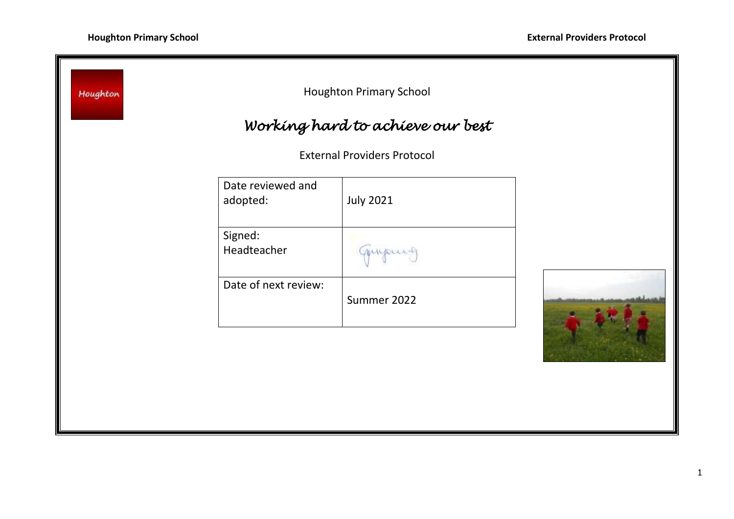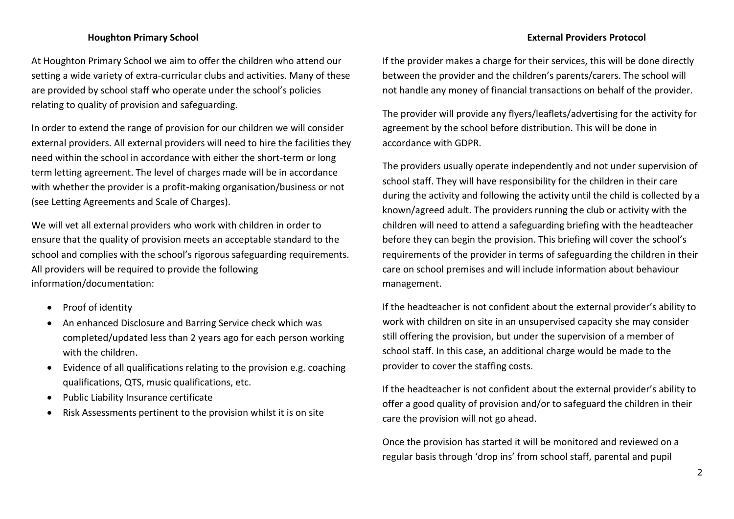At Houghton Primary School we aim to offer the children who attend our setting a wide variety of extra-curricular clubs and activities. Many of these are provided by school staff who operate under the school's policies relating to quality of provision and safeguarding.

In order to extend the range of provision for our children we will consider external providers. All external providers will need to hire the facilities they need within the school in accordance with either the short-term or long term letting agreement. The level of charges made will be in accordance with whether the provider is a profit-making organisation/business or not (see Letting Agreements and Scale of Charges).

We will vet all external providers who work with children in order to ensure that the quality of provision meets an acceptable standard to the school and complies with the school's rigorous safeguarding requirements. All providers will be required to provide the following information/documentation:

- Proof of identity
- An enhanced Disclosure and Barring Service check which was completed/updated less than 2 years ago for each person working with the children
- Evidence of all qualifications relating to the provision e.g. coaching qualifications, QTS, music qualifications, etc.
- Public Liability Insurance certificate
- Risk Assessments pertinent to the provision whilst it is on site

If the provider makes a charge for their services, this will be done directly between the provider and the children's parents/carers. The school will not handle any money of financial transactions on behalf of the provider.

The provider will provide any flyers/leaflets/advertising for the activity for agreement by the school before distribution. This will be done in accordance with GDPR.

The providers usually operate independently and not under supervision of school staff. They will have responsibility for the children in their care during the activity and following the activity until the child is collected by a known/agreed adult. The providers running the club or activity with the children will need to attend a safeguarding briefing with the headteacher before they can begin the provision. This briefing will cover the school's requirements of the provider in terms of safeguarding the children in their care on school premises and will include information about behaviour management.

If the headteacher is not confident about the external provider's ability to work with children on site in an unsupervised capacity she may consider still offering the provision, but under the supervision of a member of school staff. In this case, an additional charge would be made to the provider to cover the staffing costs.

If the headteacher is not confident about the external provider's ability to offer a good quality of provision and/or to safeguard the children in their care the provision will not go ahead.

Once the provision has started it will be monitored and reviewed on a regular basis through 'drop ins' from school staff, parental and pupil

## **Houghton Primary School External Providers Protocol**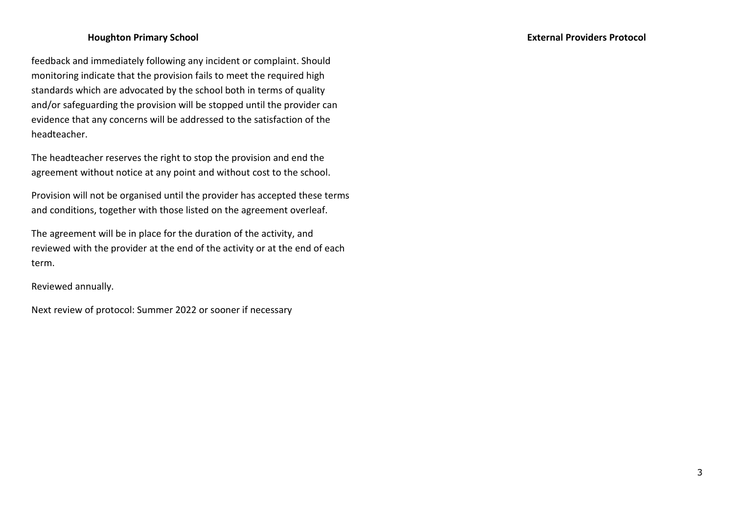feedback and immediately following any incident or complaint. Should monitoring indicate that the provision fails to meet the required high standards which are advocated by the school both in terms of quality and/or safeguarding the provision will be stopped until the provider can evidence that any concerns will be addressed to the satisfaction of the headteacher.

The headteacher reserves the right to stop the provision and end the agreement without notice at any point and without cost to the school.

Provision will not be organised until the provider has accepted these terms and conditions, together with those listed on the agreement overleaf.

The agreement will be in place for the duration of the activity, and reviewed with the provider at the end of the activity or at the end of each term.

Reviewed annually.

Next review of protocol: Summer 2022 or sooner if necessary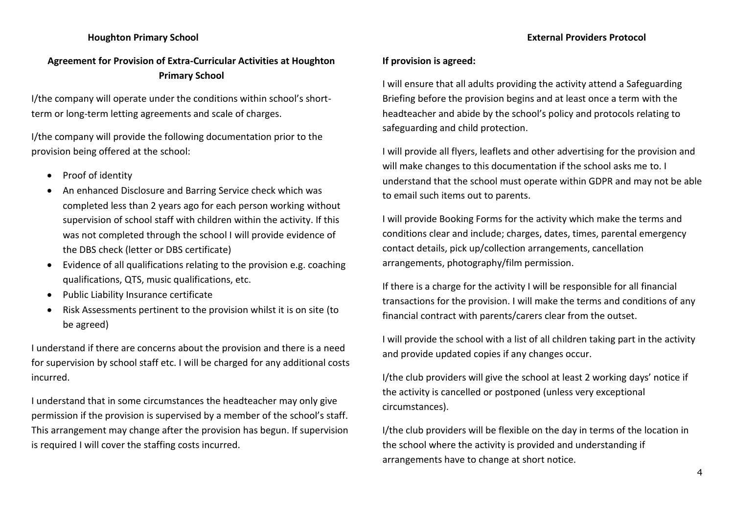# **Agreement for Provision of Extra-Curricular Activities at Houghton Primary School**

I/the company will operate under the conditions within school's shortterm or long-term letting agreements and scale of charges.

I/the company will provide the following documentation prior to the provision being offered at the school:

- Proof of identity
- An enhanced Disclosure and Barring Service check which was completed less than 2 years ago for each person working without supervision of school staff with children within the activity. If this was not completed through the school I will provide evidence of the DBS check (letter or DBS certificate)
- Evidence of all qualifications relating to the provision e.g. coaching qualifications, QTS, music qualifications, etc.
- Public Liability Insurance certificate
- Risk Assessments pertinent to the provision whilst it is on site (to be agreed)

I understand if there are concerns about the provision and there is a need for supervision by school staff etc. I will be charged for any additional costs incurred.

I understand that in some circumstances the headteacher may only give permission if the provision is supervised by a member of the school's staff. This arrangement may change after the provision has begun. If supervision is required I will cover the staffing costs incurred.

## **Houghton Primary School External Providers Protocol**

## **If provision is agreed:**

I will ensure that all adults providing the activity attend a Safeguarding Briefing before the provision begins and at least once a term with the headteacher and abide by the school's policy and protocols relating to safeguarding and child protection.

I will provide all flyers, leaflets and other advertising for the provision and will make changes to this documentation if the school asks me to. I understand that the school must operate within GDPR and may not be able to email such items out to parents.

I will provide Booking Forms for the activity which make the terms and conditions clear and include; charges, dates, times, parental emergency contact details, pick up/collection arrangements, cancellation arrangements, photography/film permission.

If there is a charge for the activity I will be responsible for all financial transactions for the provision. I will make the terms and conditions of any financial contract with parents/carers clear from the outset.

I will provide the school with a list of all children taking part in the activity and provide updated copies if any changes occur.

I/the club providers will give the school at least 2 working days' notice if the activity is cancelled or postponed (unless very exceptional circumstances).

I/the club providers will be flexible on the day in terms of the location in the school where the activity is provided and understanding if arrangements have to change at short notice.